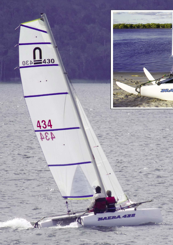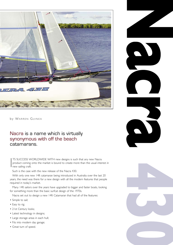

by WARREN GUINEA

# Nacra is a name which is virtually synonymous with off the beach catamarans.

TS SUCCESS W<br>product coming<br>new sailing craft. TS SUCCESS WORLDWIDE WITH new designs is such that any new Nacra product coming onto the market is bound to create more than the usual interest in

Such is the case with the new release of the Nacra 430.

With only one new 14ft catamaran being introduced in Australia over the last 20 years, the need was there for a new design with all the modern features that people required in today's market.

Many 14ft sailors over the years have upgraded to bigger and faster boats, looking for something more than the basic surfcat design of the 1970s.

Nacra set out to design a new 14ft Catamaran that had all of the features:

- Simple to sail;
- Easy to rig;
- 21st Century looks;
- Latest technology in designs;
- Large storage areas in each hull;
- Fits into modern day garage;
- Great turn of speed.



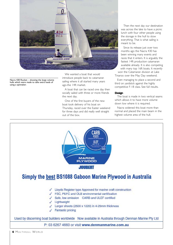

Nacra 430 Rocket – showing the large volume hulls which were made to take extra loads of using a spinnaker.

We wanted a boat that would introduce people back to catamaran sailing where it all started many years ago-the 14ft market.

A boat that can be raced one day then socially sailed with three or more friends the next day.

One of the first buyers of the new boat took delivery of his boat on Thursday, raced over the Easter weekend for three days and did really well straight out of the box.

Then the next day our destination was across the lake to have a picnic lunch with four other people using the storage in the hull to stow everything. That is what sailing is meant to be.

Since its release just over two months ago the Nacra 430 has been winning many events and races that it enters. It is arguably the fastest 14ft production catamaran available already. It is also competing with many top 16ft boats. It recently won the Catamaran division at Lake

Tinaroo over the May Day weekend.

Even managing to place a second and third on yardstick against the highly competitive F-18 class. See full results.

#### **Design**

The boat is made in two vertical seams which allows it to have more volume down low where it is required.

Nacra widened this boat more than normal and placed the main beam in the highest volume area of the hull.

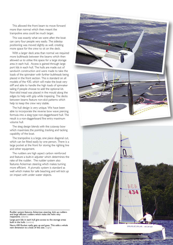This allowed the front beam to move forward more than normal which then meant the trampoline area could be much larger.

This was exactly what we were after; the boat can carry four people very easily. The sidestay positioning was moved slightly as well, creating more space for the crew to sit on the deck.

With a larger deck area than normal we required more bulkheads between the beams which then allowed us to utilise this space for a large storage area in each hull. Access is gained through large port lids in each hull. The hulls are made out of sandwich construction and were made to take the loads of the spinnaker with further bulkheads being placed in the front section. This is standard on all models of the 430, which will make the boat very stiff and able to handle the high loads of spinnaker sailing if people choose to add the optional kit. Non-skid tread was placed in the mould along the edges to help with grip while trapezing. The decks between beams feature non-skid patterns which help to keep the crew very stable.

The hull design is very unique. We have been able to incorporate the reverse bow wave piercing formula into a skeg type non-daggerboard hull. The result is a non-daggerboard fine entry maximum volume hull.

The skeg design blends with the cutaway bow which maximises the pointing, tracking and tacking capability of the boat.

The trampoline is a large, one piece diagonal cut, which can be fitted easily by one person. There is a large pocket at the front for storing the righting line and other equipment.

The rudders are high aspect carbon reinforced and feature a built-in adjuster which determines the rake of the rudder. The rudder system also features Ackerman steering which makes turning more efficient. A pivmatic system is standard as well which makes for safe beaching and will kick up on impact with under water objects.



Rudder system features Ackerman steering, kick up rudders and large efficient rudders which make the helm very responsive. (above)

Nacra 430 Rocket really gets up and goes. This adds a whole new dimension to a boat of this size. (right)

Large port lids in each hull give access to the storage areas built in the hulls. (centre)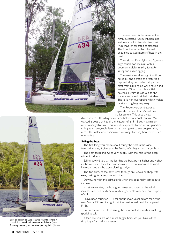

The rear beam is the same as the highly successful Nacra 'Infusion' and features a built in traveller track, with RCB traveller car fitted as standard. The front beam has had the well deepened to add more stiffness in the boat.

The sails are Flex Mylar and feature a large square top mainsail with a boomless sailplan making for safer sailing and easier rigging.

The mast is small enough to still be raised by one person and features a captive ball system, which stops the mast from jumping off while raising and lowering. Other controls are 8-1 downhaul which is lead out to the trapeze and a 6-1 ratchet mainsheet. The jib is non overlapping which makes tacking and gibing very easy.

The Rocket version features a spinnaker kit and Nacra's mid pole snuffer system. This adds a new

dimension to 14ft sailing never seen before in a boat this size. We wanted a boat that has all the features of an F-18 yet in a smaller more manageable size. This introduces people to the art of spinnaker sailing at a manageable level. It has been great to see people sailing across the water under spinnaker, knowing that they have never used one before.

## **Sailing the boat**

The first thing you notice about sailing the boat is the wide trampoline area, it gives you the feeling of sailing a much larger boat.

The boat tacks and gybes very quickly with the help of the deep efficient rudders.

Sailing upwind you will notice that the boat points higher and higher as the wind increases, the boat seems to drift to windward as wind increases, due to the wave piercing design.

The fine entry of the bow slices through any waves or chop with ease, making for a very smooth ride.

Downwind with the spinnaker is when the boat really comes in to its own.

It just accelerates, the boat goes lower and lower as the wind increases and will easily pass much larger boats with ease on this point of sail.

I have been sailing an F-18 for about seven years before sailing the new Nacra 430 and thought that the boat would be dull compared to F-18s.

But to my surprise I love sailing the new boat, it is really something special to sail.

It feels like you are on a much bigger boat, yet you have all the



Boat on display at Lake Tinaroo Regatta, where it and a series on display at law of the placed first overall in its catamaran division. (top) simplicity of a small catamaran. Showing fine entry of the wave piercing hull. (above)